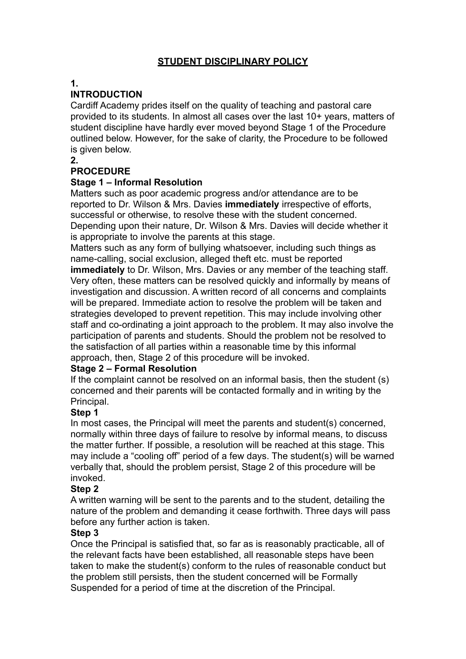# **STUDENT DISCIPLINARY POLICY**

#### **1.**

## **INTRODUCTION**

Cardiff Academy prides itself on the quality of teaching and pastoral care provided to its students. In almost all cases over the last 10+ years, matters of student discipline have hardly ever moved beyond Stage 1 of the Procedure outlined below. However, for the sake of clarity, the Procedure to be followed is given below.

#### **2.**

## **PROCEDURE**

### **Stage 1 – Informal Resolution**

Matters such as poor academic progress and/or attendance are to be reported to Dr. Wilson & Mrs. Davies **immediately** irrespective of efforts, successful or otherwise, to resolve these with the student concerned. Depending upon their nature, Dr. Wilson & Mrs. Davies will decide whether it is appropriate to involve the parents at this stage.

Matters such as any form of bullying whatsoever, including such things as name-calling, social exclusion, alleged theft etc. must be reported

**immediately** to Dr. Wilson, Mrs. Davies or any member of the teaching staff. Very often, these matters can be resolved quickly and informally by means of investigation and discussion. A written record of all concerns and complaints will be prepared. Immediate action to resolve the problem will be taken and strategies developed to prevent repetition. This may include involving other staff and co-ordinating a joint approach to the problem. It may also involve the participation of parents and students. Should the problem not be resolved to the satisfaction of all parties within a reasonable time by this informal approach, then, Stage 2 of this procedure will be invoked.

### **Stage 2 – Formal Resolution**

If the complaint cannot be resolved on an informal basis, then the student (s) concerned and their parents will be contacted formally and in writing by the Principal.

## **Step 1**

In most cases, the Principal will meet the parents and student(s) concerned, normally within three days of failure to resolve by informal means, to discuss the matter further. If possible, a resolution will be reached at this stage. This may include a "cooling off" period of a few days. The student(s) will be warned verbally that, should the problem persist, Stage 2 of this procedure will be invoked.

## **Step 2**

A written warning will be sent to the parents and to the student, detailing the nature of the problem and demanding it cease forthwith. Three days will pass before any further action is taken.

### **Step 3**

Once the Principal is satisfied that, so far as is reasonably practicable, all of the relevant facts have been established, all reasonable steps have been taken to make the student(s) conform to the rules of reasonable conduct but the problem still persists, then the student concerned will be Formally Suspended for a period of time at the discretion of the Principal.